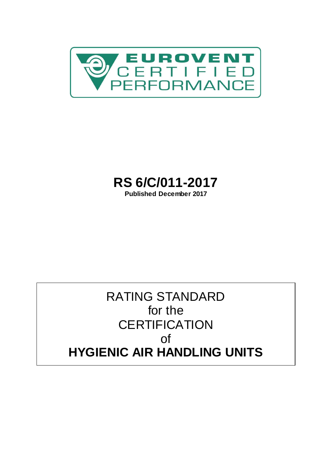

# <span id="page-0-0"></span>**RS 6/C/011-2017**

**Published December 2017**

## RATING STANDARD for the **CERTIFICATION** of **HYGIENIC AIR HANDLING UNITS**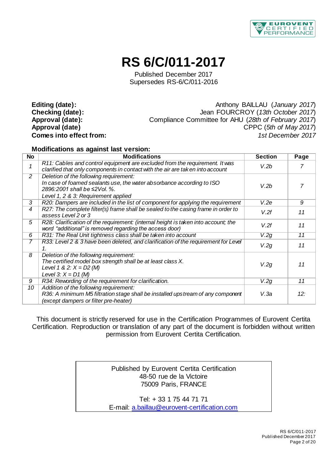

## **RS 6/C/011-2017**

[Published December 2017](#page-0-0) Supersedes RS-6/C/011-2016

Editing (date):<br> **Checking (date):** Anthony BAILLAU (*January 2017*)<br>
Jean FOURCROY (*13th October 2017*) **Checking (date):** Jean FOURCROY (*13th October 2017*) **Approval (date):** Compliance Committee for AHU (*28th of February 2017*) **Approval (date)** CPPC (*5th of May 2017*) **Comes into effect from:** *1st December 2017*

#### **Modifications as against last version:**

| <b>No</b> | <b>Modifications</b>                                                                                                                                               | <b>Section</b> | Page |
|-----------|--------------------------------------------------------------------------------------------------------------------------------------------------------------------|----------------|------|
| 1         | R11: Cables and control equipment are excluded from the requirement. It was<br>clarified that only components in contact with the air are taken into account       | V.2b           | 7    |
| 2         | Deletion of the following requirement:                                                                                                                             |                |      |
|           | In case of foamed sealants use, the water absorbance according to ISO<br>2896:2001 shall be ≤2Vol. %.                                                              | V.2b           |      |
|           | Level 1, 2 & 3: Requirement applied                                                                                                                                |                |      |
| 3         | R20: Dampers are included in the list of component for applying the requirement                                                                                    | V.2e           | 9    |
| 4         | R27: The complete filter(s) frame shall be sealed to the casing frame in order to<br>assess Level 2 or 3                                                           | V.2f           | 11   |
| 5         | R28: Clarification of the requirement: (internal height is taken into account; the<br>word "additional" is removed regarding the access door)                      | V.2f           | 11   |
| 6         | R31: The Real Unit tightness class shall be taken into account                                                                                                     | V.2g           | 11   |
| 7         | R33: Level 2 & 3 have been deleted, and clarification of the requirement for Level<br>1                                                                            | V.2g           | 11   |
| 8         | Deletion of the following requirement:<br>The certified model box strength shall be at least class X.<br>Level 1 & 2: $X = D2$ (M)<br>Level 3: $X = D1$ (M)        | V.2g           | 11   |
| 9         | R34: Rewording of the requirement for clarification.                                                                                                               | V.2g           | 11   |
| 10        | Addition of the following requirement:<br>R36: A minimum M5 filtration stage shall be installed upstream of any component<br>(except dampers or filter pre-heater) | V.3a           | 12:  |

This document is strictly reserved for use in the Certification Programmes of Eurovent Certita Certification. Reproduction or translation of any part of the document is forbidden without written permission from Eurovent Certita Certification.

> Published by Eurovent Certita Certification 48-50 rue de la Victoire 75009 Paris, FRANCE

Tel: + 33 1 75 44 71 71 E-mail[: a.baillau@eurovent-certification.com](mailto:a.baillau@eurovent-certification.com)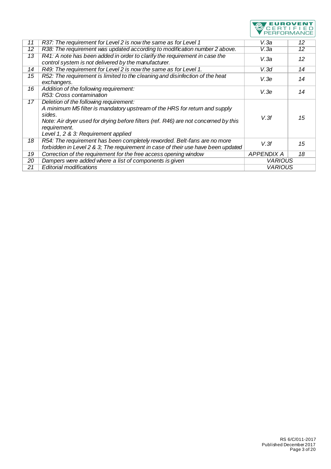

| 11 | R37: The requirement for Level 2 is now the same as for Level 1                                                                                                                                                                                                              | V.3a              | 12 |
|----|------------------------------------------------------------------------------------------------------------------------------------------------------------------------------------------------------------------------------------------------------------------------------|-------------------|----|
| 12 | R38: The requirement was updated according to modification number 2 above.                                                                                                                                                                                                   | V.3a              | 12 |
| 13 | R41: A note has been added in order to clarify the requirement in case the<br>control system is not delivered by the manufacturer.                                                                                                                                           | V 3a              | 12 |
| 14 | R49: The requirement for Level 2 is now the same as for Level 1.                                                                                                                                                                                                             | V.3d              | 14 |
| 15 | R52: The requirement is limited to the cleaning and disinfection of the heat<br>exchangers.                                                                                                                                                                                  | V.3e              | 14 |
| 16 | Addition of the following requirement:                                                                                                                                                                                                                                       | V.3e              | 14 |
|    | R53: Cross contamination                                                                                                                                                                                                                                                     |                   |    |
| 17 | Deletion of the following requirement:<br>A minimum M5 filter is mandatory upstream of the HRS for return and supply<br>sides.<br>Note: Air dryer used for drying before filters (ref. R46) are not concerned by this<br>requirement.<br>Level 1, 2 & 3: Requirement applied | V.3f              | 15 |
| 18 | R54: The requirement has been completely reworded. Belt-fans are no more<br>forbidden in Level 2 & 3; The requirement in case of their use have been updated                                                                                                                 | V.3f              | 15 |
| 19 | Correction of the requirement for the free access opening window                                                                                                                                                                                                             | <b>APPENDIX A</b> | 18 |
| 20 | Dampers were added where a list of components is given                                                                                                                                                                                                                       | <b>VARIOUS</b>    |    |
| 21 | <b>Editorial modifications</b>                                                                                                                                                                                                                                               | <b>VARIOUS</b>    |    |
|    |                                                                                                                                                                                                                                                                              |                   |    |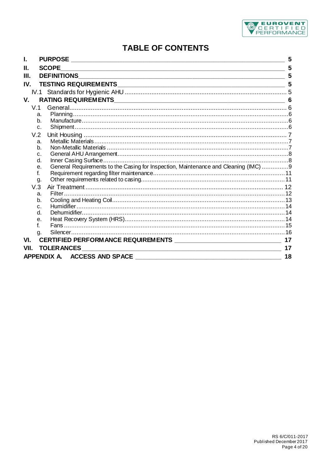

## **TABLE OF CONTENTS**

| 5<br><b>SCOPE</b><br>Ш.<br>5<br>III.<br>5<br>IV.<br>V.<br>6<br>V <sub>1</sub>                   |
|-------------------------------------------------------------------------------------------------|
|                                                                                                 |
|                                                                                                 |
|                                                                                                 |
|                                                                                                 |
|                                                                                                 |
|                                                                                                 |
| a.                                                                                              |
| b.                                                                                              |
| C <sub>1</sub>                                                                                  |
| V.2                                                                                             |
| a.                                                                                              |
| b <sub>1</sub>                                                                                  |
| c.                                                                                              |
| d.                                                                                              |
| General Requirements to the Casing for Inspection, Maintenance and Cleaning (IMC) 9<br>е.<br>f. |
| g.                                                                                              |
| V.3                                                                                             |
| a.                                                                                              |
| b.                                                                                              |
| $C$ .                                                                                           |
| <sub>d</sub>                                                                                    |
| е.                                                                                              |
|                                                                                                 |
| g.                                                                                              |
| VI.<br>17                                                                                       |
| 17<br>VII.                                                                                      |
| 18                                                                                              |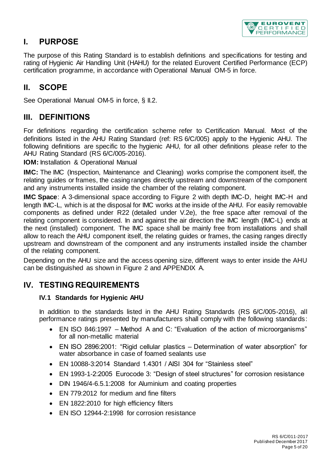

## <span id="page-4-0"></span>**I. PURPOSE**

The purpose of this Rating Standard is to establish definitions and specifications for testing and rating of Hygienic Air Handling Unit (HAHU) for the related Eurovent Certified Performance (ECP) certification programme, in accordance with Operational Manual OM-5 in force.

## <span id="page-4-1"></span>**II. SCOPE**

See Operational Manual OM-5 in force, § II.2.

### <span id="page-4-2"></span>**III. DEFINITIONS**

For definitions regarding the certification scheme refer to Certification Manual. Most of the definitions listed in the AHU Rating Standard (ref: RS 6/C/005) apply to the Hygienic AHU. The following definitions are specific to the hygienic AHU, for all other definitions please refer to the AHU Rating Standard (RS 6/C/005-2016).

**IOM:** Installation & Operational Manual

**IMC:** The IMC (Inspection, Maintenance and Cleaning) works comprise the component itself, the relating guides or frames, the casing ranges directly upstream and downstream of the component and any instruments installed inside the chamber of the relating component.

**IMC Space**: A 3-dimensional space according to [Figure 2](#page-9-0) with depth IMC-D, height IMC-H and length IMC-L, which is at the disposal for IMC works at the inside of the AHU. For easily removable components as defined under [R22](#page-9-1) (detailed under [V.2e\),](#page-8-2) the free space after removal of the relating component is considered. In and against the air direction the IMC length (IMC-L) ends at the next (installed) component. The IMC space shall be mainly free from installations and shall allow to reach the AHU component itself, the relating guides or frames, the casing ranges directly upstream and downstream of the component and any instruments installed inside the chamber of the relating component.

Depending on the AHU size and the access opening size, different ways to enter inside the AHU can be distinguished as shown in [Figure 2](#page-9-0) and [APPENDIX A.](#page-17-1)

### <span id="page-4-4"></span><span id="page-4-3"></span>**IV. TESTING REQUIREMENTS**

#### **IV.1 Standards for Hygienic AHU**

In addition to the standards listed in the AHU Rating Standards (RS 6/C/005-2016), all performance ratings presented by manufacturers shall comply with the following standards:

- EN ISO 846:1997 Method A and C: "Evaluation of the action of microorganisms" for all non-metallic material
- EN ISO 2896:2001: "Rigid cellular plastics Determination of water absorption" for water absorbance in case of foamed sealants use
- EN 10088-3:2014 Standard 1.4301 / AISI 304 for "Stainless steel"
- EN 1993-1-2:2005 Eurocode 3: "Design of steel structures" for corrosion resistance
- DIN 1946/4-6.5.1:2008 for Aluminium and coating properties
- EN 779:2012 for medium and fine filters
- EN 1822:2010 for high efficiency filters
- EN ISO 12944-2:1998 for corrosion resistance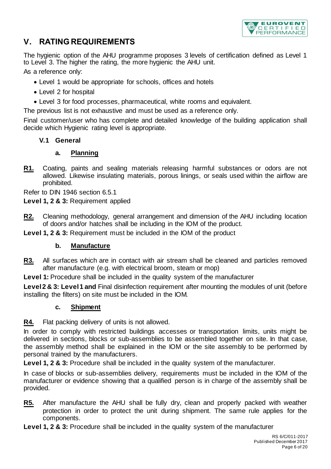

## <span id="page-5-0"></span>**V. RATING REQUIREMENTS**

The hygienic option of the AHU programme proposes 3 levels of certification defined as Level 1 to Level 3. The higher the rating, the more hygienic the AHU unit.

As a reference only:

- Level 1 would be appropriate for schools, offices and hotels
- Level 2 for hospital
- Level 3 for food processes, pharmaceutical, white rooms and equivalent.

The previous list is not exhaustive and must be used as a reference only.

<span id="page-5-1"></span>Final customer/user who has complete and detailed knowledge of the building application shall decide which Hygienic rating level is appropriate.

#### **V.1 General**

#### **a. Planning**

<span id="page-5-5"></span><span id="page-5-2"></span>**R1.** Coating, paints and sealing materials releasing harmful substances or odors are not allowed. Likewise insulating materials, porous linings, or seals used within the airflow are prohibited.

Refer to DIN 1946 section 6.5.1

**Level 1, 2 & 3:** Requirement applied

**R2.** Cleaning methodology, general arrangement and dimension of the AHU including location of doors and/or hatches shall be including in the IOM of the product.

<span id="page-5-3"></span>**Level 1, 2 & 3:** Requirement must be included in the IOM of the product

#### **b. Manufacture**

**R3.** All surfaces which are in contact with air stream shall be cleaned and particles removed after manufacture (e.g. with electrical broom, steam or mop)

Level 1: Procedure shall be included in the quality system of the manufacturer

<span id="page-5-4"></span>**Level 2 & 3: Level 1 and** Final disinfection requirement after mounting the modules of unit (before installing the filters) on site must be included in the IOM.

#### **c. Shipment**

**R4.** Flat packing delivery of units is not allowed.

In order to comply with restricted buildings accesses or transportation limits, units might be delivered in sections, blocks or sub-assemblies to be assembled together on site. In that case, the assembly method shall be explained in the IOM or the site assembly to be performed by personal trained by the manufacturers.

Level 1, 2 & 3: Procedure shall be included in the quality system of the manufacturer.

In case of blocks or sub-assemblies delivery, requirements must be included in the IOM of the manufacturer or evidence showing that a qualified person is in charge of the assembly shall be provided.

**R5.** After manufacture the AHU shall be fully dry, clean and properly packed with weather protection in order to protect the unit during shipment. The same rule applies for the components.

**Level 1, 2 & 3:** Procedure shall be included in the quality system of the manufacturer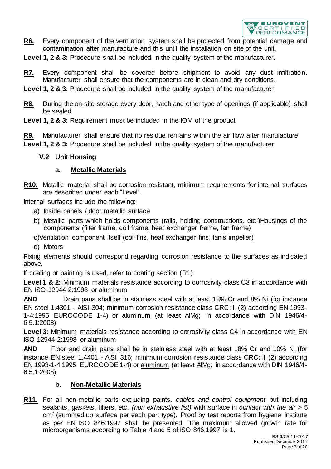

**R6.** Every component of the ventilation system shall be protected from potential damage and contamination after manufacture and this until the installation on site of the unit.

**Level 1, 2 & 3:** Procedure shall be included in the quality system of the manufacturer.

- **R7.** Every component shall be covered before shipment to avoid any dust infiltration. Manufacturer shall ensure that the components are in clean and dry conditions.
- Level 1, 2 & 3: Procedure shall be included in the quality system of the manufacturer
- **R8.** During the on-site storage every door, hatch and other type of openings (if applicable) shall be sealed.
- **Level 1, 2 & 3:** Requirement must be included in the IOM of the product

**R9.** Manufacturer shall ensure that no residue remains within the air flow after manufacture. Level 1. 2 & 3: Procedure shall be included in the quality system of the manufacturer

#### <span id="page-6-2"></span>**V.2 Unit Housing**

#### **a. Metallic Materials**

<span id="page-6-3"></span>**R10.** Metallic material shall be corrosion resistant, minimum requirements for internal surfaces are described under each "Level".

Internal surfaces include the following:

- a) Inside panels / door metallic surface
- b) Metallic parts which holds components (rails, holding constructions, etc.)Housings of the components (filter frame, coil frame, heat exchanger frame, fan frame)
- c)Ventilation component itself (coil fins, heat exchanger fins, fan's impeller)
- d) Motors

Fixing elements should correspond regarding corrosion resistance to the surfaces as indicated above.

If coating or painting is used, refer to coating section [\(R1\)](#page-5-5)

**Level 1 & 2:** Minimum materials resistance according to corrosivity class C3 in accordance with EN ISO 12944-2:1998 or aluminum

**AND** Drain pans shall be in stainless steel with at least 18% Cr and 8% Ni (for instance EN steel 1.4301 - AISI 304; minimum corrosion resistance class CRC: II (2) according EN 1993- 1-4:1995 EUROCODE 1-4) or aluminum (at least AlMg; in accordance with DIN 1946/4- 6.5.1:2008)

**Level 3:** Minimum materials resistance according to corrosivity class C4 in accordance with EN ISO 12944-2:1998 or aluminum

**AND** Floor and drain pans shall be in stainless steel with at least 18% Cr and 10% Ni (for instance EN steel 1.4401 - AISI 316; minimum corrosion resistance class CRC: II (2) according EN 1993-1-4:1995 EUROCODE 1-4) or aluminum (at least AlMg; in accordance with DIN 1946/4- 6.5.1:2008)

#### **b. Non-Metallic Materials**

<span id="page-6-5"></span><span id="page-6-4"></span><span id="page-6-1"></span><span id="page-6-0"></span>**R11.** For all non-metallic parts excluding paints*, cables and control equipment* but including sealants, gaskets, filters, etc*. (non exhaustive list)* with surface in *contact with the air* > 5 cm² (summed up surface per each part type). Proof by test reports from hygiene institute as per EN ISO 846:1997 shall be presented. The maximum allowed growth rate for microorganisms according to Table 4 and 5 of ISO 846:1997 is 1.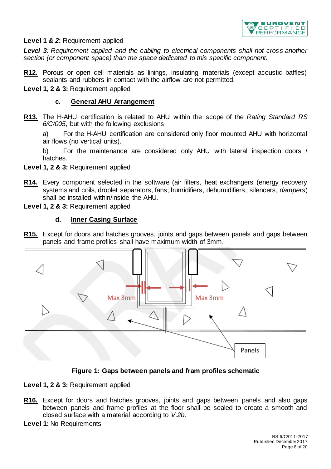

#### **Level 1** *& 2***:** Requirement applied

*Level 3: Requirement applied and the cabling to electrical components shall not cross another section (or component space) than the space dedicated to this specific component.*

- <span id="page-7-2"></span>**R12.** Porous or open cell materials as linings, insulating materials (except acoustic baffles) sealants and rubbers in contact with the airflow are not permitted.
- <span id="page-7-0"></span>**Level 1, 2 & 3:** Requirement applied

#### **c. General AHU Arrangement**

**R13.** The H-AHU certification is related to AHU within the scope of the *Rating Standard RS 6/C/005*, but with the following exclusions:

a) For the H-AHU certification are considered only floor mounted AHU with horizontal air flows (no vertical units).

b) For the maintenance are considered only AHU with lateral inspection doors / hatches.

- **Level 1, 2 & 3:** Requirement applied
- **R14.** Every component selected in the software (air filters, heat exchangers (energy recovery systems and coils, droplet separators, fans, humidifiers, dehumidifiers, silencers*, dampers*) shall be installed within/inside the AHU.
- <span id="page-7-1"></span>**Level 1, 2 & 3:** Requirement applied

#### **d. Inner Casing Surface**

**R15.** Except for doors and hatches grooves, joints and gaps between panels and gaps between panels and frame profiles shall have maximum width of 3mm.



#### **Figure 1: Gaps between panels and fram profiles schematic**

**Level 1, 2 & 3:** Requirement applied

- **R16.** Except for doors and hatches grooves, joints and gaps between panels and also gaps between panels and frame profiles at the floor shall be sealed to create a smooth and closed surface with a material according to *V.2b*.
- **Level 1:** No Requirements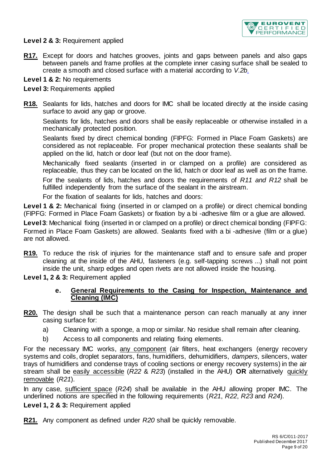

#### **Level 2 & 3:** Requirement applied

**R17.** Except for doors and hatches grooves, joints and gaps between panels and also gaps between panels and frame profiles at the complete inner casing surface shall be sealed to create a smooth and closed surface with a material according to *V.2b*.

#### **Level 1 & 2:** No requirements

#### **Level 3:** Requirements applied

**R18.** Sealants for lids, hatches and doors for IMC shall be located directly at the inside casing surface to avoid any gap or groove.

Sealants for lids, hatches and doors shall be easily replaceable or otherwise installed in a mechanically protected position.

Sealants fixed by direct chemical bonding (FIPFG: Formed in Place Foam Gaskets) are considered as not replaceable. For proper mechanical protection these sealants shall be applied on the lid, hatch or door leaf (but not on the door frame).

Mechanically fixed sealants (inserted in or clamped on a profile) are considered as replaceable, thus they can be located on the lid, hatch or door leaf as well as on the frame.

For the sealants of lids, hatches and doors the requirements of *[R11](#page-6-5) and [R12](#page-7-2)* shall be fulfilled independently from the surface of the sealant in the airstream.

For the fixation of sealants for lids, hatches and doors:

**Level 1 & 2:** Mechanical fixing (inserted in or clamped on a profile) or direct chemical bonding (FIPFG: Formed in Place Foam Gaskets) or fixation by a bi -adhesive film or a glue are allowed.

**Level 3**: Mechanical fixing (inserted in or clamped on a profile) or direct chemical bonding (FIPFG: Formed in Place Foam Gaskets) are allowed. Sealants fixed with a bi -adhesive (film or a glue) are not allowed.

**R19.** To reduce the risk of injuries for the maintenance staff and to ensure safe and proper cleaning at the inside of the AHU, fasteners (e.g. self-tapping screws ...) shall not point inside the unit, sharp edges and open rivets are not allowed inside the housing.

<span id="page-8-2"></span><span id="page-8-1"></span>**Level 1, 2 & 3:** Requirement applied

#### **e. General Requirements to the Casing for Inspection, Maintenance and Cleaning (IMC)**

- <span id="page-8-4"></span><span id="page-8-0"></span>**R20.** The design shall be such that a maintenance person can reach manually at any inner casing surface for:
	- a) Cleaning with a sponge, a mop or similar. No residue shall remain after cleaning.
	- b) Access to all components and relating fixing elements.

For the necessary IMC works, any component (air filters, heat exchangers (energy recovery systems and coils, droplet separators, fans, humidifiers, dehumidifiers, *dampers,* silencers, water trays of humidifiers and condense trays of cooling sections or energy recovery systems) in the air stream shall be easily accessible (*[R22](#page-9-1)* & *[R23](#page-9-2)*) (installed in the AHU) **OR** alternatively quickly removable (*[R21](#page-8-3)*).

In any case, sufficient space (*[R24](#page-10-7)*) shall be available in the AHU allowing proper IMC. The underlined notions are specified in the following requirements (*[R21](#page-8-3)*, *[R22](#page-9-1)*, *[R23](#page-9-2)* and *[R24](#page-10-7)*).

**Level 1, 2 & 3:** Requirement applied

<span id="page-8-3"></span>**R21.** Any component as defined under *[R20](#page-8-4)* shall be quickly removable.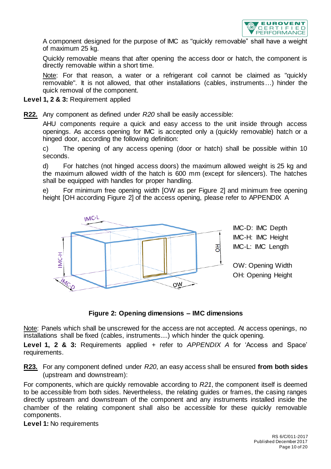

A component designed for the purpose of IMC as "quickly removable" shall have a weight of maximum 25 kg.

Quickly removable means that after opening the access door or hatch, the component is directly removable within a short time.

Note: For that reason, a water or a refrigerant coil cannot be claimed as "quickly removable". It is not allowed, that other installations (cables, instruments…) hinder the quick removal of the component.

- **Level 1, 2 & 3:** Requirement applied
- <span id="page-9-1"></span>**R22.** Any component as defined under *[R20](#page-8-4)* shall be easily accessible:

AHU components require a quick and easy access to the unit inside through access openings. As access opening for IMC is accepted only a (quickly removable) hatch or a hinged door, according the following definition:

c) The opening of any access opening (door or hatch) shall be possible within 10 seconds.

d) For hatches (not hinged access doors) the maximum allowed weight is 25 kg and the maximum allowed width of the hatch is 600 mm (except for silencers). The hatches shall be equipped with handles for proper handling.

e) For minimum free opening width [OW as per [Figure 2\]](#page-9-0) and minimum free opening height [OH according [Figure 2\]](#page-9-0) of the access opening, please refer to [APPENDIX A](#page-17-1)



**Figure 2: Opening dimensions – IMC dimensions**

<span id="page-9-0"></span>Note: Panels which shall be unscrewed for the access are not accepted. At access openings, no installations shall be fixed (cables, instruments....) which hinder the quick opening.

**Level 1, 2 & 3:** Requirements applied + refer to *[APPENDIX A](#page-17-1)* for 'Access and Space' requirements.

<span id="page-9-2"></span>**R23.** For any component defined under *[R20](#page-8-4)*, an easy access shall be ensured **from both sides** (upstream and downstream):

For components, which are quickly removable according to *[R21](#page-8-3)*, the component itself is deemed to be accessible from both sides. Nevertheless, the relating guides or frames, the casing ranges directly upstream and downstream of the component and any instruments installed inside the chamber of the relating component shall also be accessible for these quickly removable components.

**Level 1:** No requirements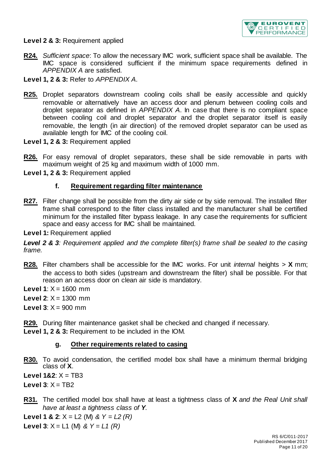

**Level 2 & 3:** Requirement applied

- <span id="page-10-7"></span>**R24.** *Sufficient space*: To allow the necessary IMC work, sufficient space shall be available. The IMC space is considered sufficient if the minimum space requirements defined in *[APPENDIX A](#page-17-1)* are satisfied.
- **Level 1, 2 & 3:** Refer to *[APPENDIX A](#page-17-1)*.
- <span id="page-10-8"></span>**R25.** Droplet separators downstream cooling coils shall be easily accessible and quickly removable or alternatively have an access door and plenum between cooling coils and droplet separator as defined in *[APPENDIX A](#page-17-1)*. In case that there is no compliant space between cooling coil and droplet separator and the droplet separator itself is easily removable, the length (in air direction) of the removed droplet separator can be used as available length for IMC of the cooling coil.
- **Level 1, 2 & 3:** Requirement applied
- **R26.** For easy removal of droplet separators, these shall be side removable in parts with maximum weight of 25 kg and maximum width of 1000 mm.
- <span id="page-10-5"></span><span id="page-10-1"></span>**Level 1, 2 & 3:** Requirement applied

#### **f. Requirement regarding filter maintenance**

<span id="page-10-0"></span>**R27.** Filter change shall be possible from the dirty air side or by side removal. The installed filter frame shall correspond to the filter class installed and the manufacturer shall be certified minimum for the installed filter bypass leakage. In any case the requirements for sufficient space and easy access for IMC shall be maintained.

#### **Level 1:** Requirement applied

*Level 2 & 3: Requirement applied and the complete filter(s) frame shall be sealed to the casing frame.*

- <span id="page-10-2"></span>**R28.** Filter chambers shall be accessible for the IMC works. For unit *internal* heights > **X** mm; the access to both sides (upstream and downstream the filter) shall be possible. For that reason an access door on clean air side is mandatory.
- **Level 1:**  $X = 1600$  mm
- **Level 2:**  $X = 1300$  mm
- **Level 3:**  $X = 900$  **mm**
- <span id="page-10-6"></span><span id="page-10-4"></span>**R29.** During filter maintenance gasket shall be checked and changed if necessary. **Level 1, 2 & 3:** Requirement to be included in the IOM.

#### **g. Other requirements related to casing**

**R30.** To avoid condensation, the certified model box shall have a minimum thermal bridging class of **X**.

**Level 1&2:**  $X = TB3$ 

Level  $3: X = TR2$ 

<span id="page-10-3"></span>**R31.** The certified model box shall have at least a tightness class of **X** *and the Real Unit shall have at least a tightness class of Y*.

**Level 1 & 2**: X = L2 (M) *& Y = L2 (R)*

**Level 3**:  $X = L1$  (M) &  $Y = L1$  (R)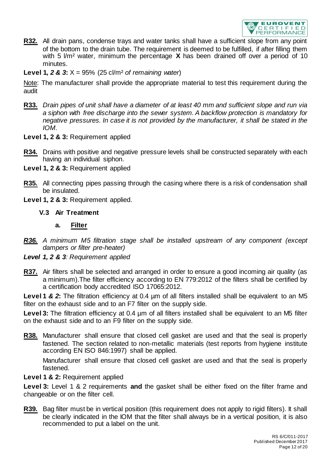

**R32.** All drain pans, condense trays and water tanks shall have a sufficient slope from any point of the bottom to the drain tube. The requirement is deemed to be fulfilled, if after filling them with 5 l/m² water, minimum the percentage **X** has been drained off over a period of 10 minutes.

**Level 1***, 2 & 3***:** X = 95% (25 cl/m² *of remaining water*)

Note: The manufacturer shall provide the appropriate material to test this requirement during the audit

- <span id="page-11-0"></span>**R33.** *Drain pipes of unit shall have a diameter of at least 40 mm and sufficient slope and run via a siphon with free discharge into the sewer system. A backflow protection is mandatory for negative pressures. In case it is not provided by the manufacturer, it shall be stated in the IOM.*
- **Level 1, 2 & 3:** Requirement applied
- <span id="page-11-1"></span>**R34.** Drains with positive and negative pressure levels shall be constructed separately with each having an individual siphon.
- **Level 1, 2 & 3:** Requirement applied
- **R35.** All connecting pipes passing through the casing where there is a risk of condensation shall be insulated.
- <span id="page-11-6"></span>**Level 1, 2 & 3:** Requirement applied.

#### **V.3 Air Treatment**

#### **a. Filter**

- <span id="page-11-8"></span><span id="page-11-7"></span><span id="page-11-3"></span><span id="page-11-2"></span>*R36. A minimum M5 filtration stage shall be installed upstream of any component (except dampers or filter pre-heater)*
- *Level 1, 2 & 3: Requirement applied*
- <span id="page-11-4"></span>**R37.** Air filters shall be selected and arranged in order to ensure a good incoming air quality (as a minimum).The filter efficiency according to EN 779:2012 of the filters shall be certified by a certification body accredited ISO 17065:2012.

**Level 1 & 2:** The filtration efficiency at 0.4 um of all filters installed shall be equivalent to an M5 filter on the exhaust side and to an F7 filter on the supply side.

Level 3: The filtration efficiency at 0.4  $\mu$ m of all filters installed shall be equivalent to an M5 filter on the exhaust side and to an F9 filter on the supply side.

<span id="page-11-5"></span>**R38.** Manufacturer shall ensure that closed cell gasket are used and that the seal is properly fastened. The section related to non-metallic materials (test reports from hygiene institute according EN ISO 846:1997) shall be applied.

Manufacturer shall ensure that closed cell gasket are used and that the seal is properly fastened.

#### **Level 1 & 2:** Requirement applied

**Level 3:** Level 1 & 2 requirements **and** the gasket shall be either fixed on the filter frame and changeable or on the filter cell.

**R39.** Bag filter must be in vertical position (this requirement does not apply to rigid filters). It shall be clearly indicated in the IOM that the filter shall always be in a vertical position, it is also recommended to put a label on the unit.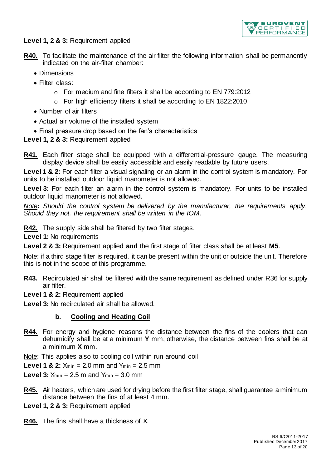

#### **Level 1, 2 & 3:** Requirement applied

- **R40.** To facilitate the maintenance of the air filter the following information shall be permanently indicated on the air-filter chamber:
	- Dimensions
	- Filter class:
		- o For medium and fine filters it shall be according to EN 779:2012
		- o For high efficiency filters it shall be according to EN 1822:2010
	- Number of air filters
	- Actual air volume of the installed system
	- Final pressure drop based on the fan's characteristics

**Level 1, 2 & 3:** Requirement applied

<span id="page-12-0"></span>**R41.** Each filter stage shall be equipped with a differential-pressure gauge. The measuring display device shall be easily accessible and easily readable by future users.

**Level 1 & 2:** For each filter a visual signaling or an alarm in the control system is mandatory. For units to be installed outdoor liquid manometer is not allowed.

**Level 3:** For each filter an alarm in the control system is mandatory. For units to be installed outdoor liquid manometer is not allowed.

*Note: Should the control system be delivered by the manufacturer, the requirements apply. Should they not, the requirement shall be written in the IOM.*

**R42.** The supply side shall be filtered by two filter stages.

**Level 1:** No requirements

**Level 2 & 3:** Requirement applied **and** the first stage of filter class shall be at least **M5**.

Note: if a third stage filter is required, it can be present within the unit or outside the unit. Therefore this is not in the scope of this programme.

- **R43.** Recirculated air shall be filtered with the same requirement as defined under [R36](#page-11-8) for supply air filter.
- **Level 1 & 2:** Requirement applied

<span id="page-12-1"></span>**Level 3:** No recirculated air shall be allowed.

#### **b. Cooling and Heating Coil**

**R44.** For energy and hygiene reasons the distance between the fins of the coolers that can dehumidify shall be at a minimum **Y** mm, otherwise, the distance between fins shall be at a minimum **X** mm.

Note: This applies also to cooling coil within run around coil

**Level 1 & 2:**  $X_{\text{min}} = 2.0$  mm and  $Y_{\text{min}} = 2.5$  mm

**Level 3:**  $X_{\text{min}} = 2.5$  m and  $Y_{\text{min}} = 3.0$  mm

**R45.** Air heaters, which are used for drying before the first filter stage, shall guarantee a minimum distance between the fins of at least 4 mm.

**Level 1, 2 & 3:** Requirement applied

**R46.** The fins shall have a thickness of X.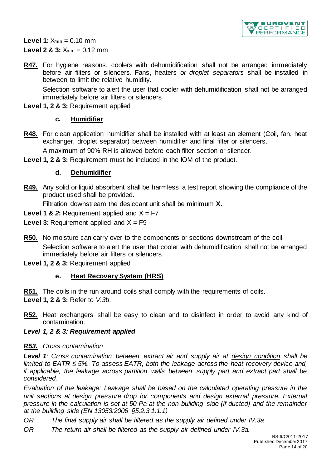

**Level 1:**  $X_{min} = 0.10$  mm **Level 2 & 3:**  $X_{\text{min}} = 0.12$  mm

**R47.** For hygiene reasons, coolers with dehumidification shall not be arranged immediately before air filters or silencers. Fans, heaters *or droplet separators* shall be installed in between to limit the relative humidity.

Selection software to alert the user that cooler with dehumidification shall not be arranged immediately before air filters or silencers

<span id="page-13-5"></span>Level 1, 2 & 3: Requirement applied

#### **c. Humidifier**

**R48.** For clean application humidifier shall be installed with at least an element (Coil, fan, heat exchanger, droplet separator) between humidifier and final filter or silencers.

A maximum of 90% RH is allowed before each filter section or silencer.

<span id="page-13-6"></span><span id="page-13-1"></span>**Level 1, 2 & 3:** Requirement must be included in the IOM of the product.

#### **d. Dehumidifier**

<span id="page-13-0"></span>**R49.** Any solid or liquid absorbent shall be harmless, a test report showing the compliance of the product used shall be provided.

Filtration downstream the desiccant unit shall be minimum **X.**

- **Level 1 & 2:** Requirement applied and  $X = F7$
- **Level 3:** Requirement applied and  $X = F9$
- **R50.** No moisture can carry over to the components or sections downstream of the coil. Selection software to alert the user that cooler with dehumidification shall not be arranged immediately before air filters or silencers.
- <span id="page-13-7"></span><span id="page-13-3"></span>**Level 1, 2 & 3:** Requirement applied

#### **e. Heat Recovery System (HRS)**

**R51.** The coils in the run around coils shall comply with the requirements of coils.

**Level 1, 2 & 3:** Refer to *V.3b*.

- <span id="page-13-2"></span>**R52.** Heat exchangers shall be easy to clean and to disinfect in order to avoid any kind of contamination.
- *Level 1, 2 & 3: Requirement applied*

#### <span id="page-13-4"></span>*R53. Cross contamination*

*Level 1: Cross contamination between extract air and supply air at design condition shall be limited to EATR ≤ 5%. To assess EATR, both the leakage across the heat recovery device and, if applicable, the leakage across partition walls between supply part and extract part shall be considered.*

*Evaluation of the leakage: Leakage shall be based on the calculated operating pressure in the unit sections at design pressure drop for components and design external pressure. External pressure in the calculation is set at 50 Pa at the non-building side (if ducted) and the remainder at the building side (EN 13053:2006 §5.2.3.1.1.1)*

- *OR The final supply air shall be filtered as the supply air defined under IV.3a*
- *OR The return air shall be filtered as the supply air defined under IV.3a.*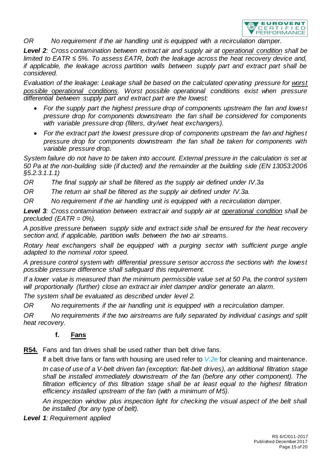

*OR No requirement if the air handling unit is equipped with a recirculation damper.*

*Level 2: Cross contamination between extract air and supply air at operational condition shall be limited to EATR ≤ 5%. To assess EATR, both the leakage across the heat recovery device and, if applicable, the leakage across partition walls between supply part and extract part shall be considered.*

*Evaluation of the leakage: Leakage shall be based on the calculated operating pressure for worst*  possible operational conditions. Worst possible operational conditions exist when pressure *differential between supply part and extract part are the lowest:*

- *For the supply part the highest pressure drop of components upstream the fan and lowest pressure drop for components downstream the fan shall be considered for components with variable pressure drop (filters, dry/wet heat exchangers).*
- *For the extract part the lowest pressure drop of components upstream the fan and highest pressure drop for components downstream the fan shall be taken for components with variable pressure drop.*

*System failure do not have to be taken into account. External pressure in the calculation is set at 50 Pa at the non-building side (if ducted) and the remainder at the building side (EN 13053:2006 §5.2.3.1.1.1)*

*OR The final supply air shall be filtered as the supply air defined under IV.3a* 

*OR The return air shall be filtered as the supply air defined under IV.3a.*

*OR No requirement if the air handling unit is equipped with a recirculation damper.*

*Level 3: Cross contamination between extract air and supply air at operational condition shall be precluded (EATR = 0%).*

*A positive pressure between supply side and extract side shall be ensured for the heat recovery section and, if applicable, partition walls between the two air streams.*

*Rotary heat exchangers shall be equipped with a purging sector with sufficient purge angle adapted to the nominal rotor speed.*

*A pressure control system with differential pressure sensor accross the sections with the lowest possible pressure difference shall safeguard this requirement.*

*If a lower value is measured than the minimum permissible value set at 50 Pa, the control system will proportionally (further) close an extract air inlet damper and/or generate an alarm.*

*The system shall be evaluated as described under level 2.*

*OR No requirements if the air handling unit is equipped with a recirculation damper.*

<span id="page-14-2"></span><span id="page-14-0"></span>*OR No requirements if the two airstreams are fully separated by individual casings and split heat recovery.*

#### **f. Fans**

<span id="page-14-1"></span>**R54.** Fans and fan drives shall be used rather than belt drive fans.

If a belt drive fans or fans with housing are used refer to *V.2e* for cleaning and maintenance.

*In case of use of a V-belt driven fan (exception: flat-belt drives), an additional filtration stage shall be installed immediately downstream of the fan (before any other component). The filtration efficiency of this filtration stage shall be at least equal to the highest filtration efficiency installed upstream of the fan (with a minimum of M5).*

*An inspection window plus inspection light for checking the visual aspect of the belt shall be installed (for any type of belt).*

*Level 1: Requirement applied*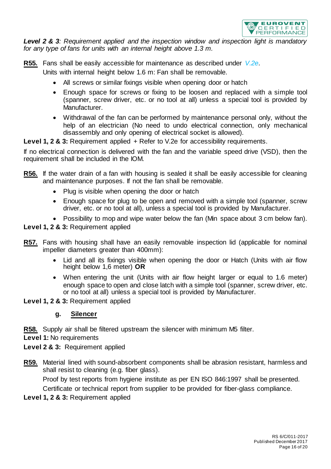

*Level 2 & 3: Requirement applied and the inspection window and inspection light is mandatory for any type of fans for units with an internal height above 1.3 m.*

**R55.** Fans shall be easily accessible for maintenance as described under *V.2e*.

Units with internal height below 1.6 m: Fan shall be removable.

- All screws or similar fixings visible when opening door or hatch
- Enough space for screws or fixing to be loosen and replaced with a simple tool (spanner, screw driver, etc. or no tool at all) unless a special tool is provided by Manufacturer.
- Withdrawal of the fan can be performed by maintenance personal only, without the help of an electrician (No need to undo electrical connection, only mechanical disassembly and only opening of electrical socket is allowed).

**Level 1, 2 & 3:** Requirement applied + Refer to V.2e for accessibility requirements.

If no electrical connection is delivered with the fan and the variable speed drive (VSD), then the requirement shall be included in the IOM.

- **R56.** If the water drain of a fan with housing is sealed it shall be easily accessible for cleaning and maintenance purposes. If not the fan shall be removable.
	- Plug is visible when opening the door or hatch
	- Enough space for plug to be open and removed with a simple tool (spanner, screw driver, etc. or no tool at all), unless a special tool is provided by Manufacturer.
	- Possibility to mop and wipe water below the fan (Min space about 3 cm below fan).

**Level 1, 2 & 3:** Requirement applied

- **R57.** Fans with housing shall have an easily removable inspection lid (applicable for nominal impeller diameters greater than 400mm):
	- Lid and all its fixings visible when opening the door or Hatch (Units with air flow height below 1,6 meter) **OR**
	- When entering the unit (Units with air flow height larger or equal to 1.6 meter) enough space to open and close latch with a simple tool (spanner, screw driver, etc. or no tool at all) unless a special tool is provided by Manufacturer.

<span id="page-15-0"></span>**Level 1, 2 & 3:** Requirement applied

#### **g. Silencer**

**R58.** Supply air shall be filtered upstream the silencer with minimum M5 filter.

**Level 1:** No requirements

**Level 2 & 3:** Requirement applied

**R59.** Material lined with sound-absorbent components shall be abrasion resistant, harmless and shall resist to cleaning (e.g. fiber glass).

Proof by test reports from hygiene institute as per EN ISO 846:1997 shall be presented. Certificate or technical report from supplier to be provided for fiber-glass compliance.

**Level 1, 2 & 3:** Requirement applied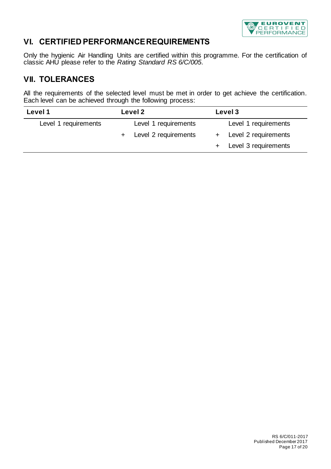

## <span id="page-16-0"></span>**VI. CERTIFIED PERFORMANCE REQUIREMENTS**

Only the hygienic Air Handling Units are certified within this programme. For the certification of classic AHU please refer to the *Rating Standard RS 6/C/005*.

## <span id="page-16-1"></span>**VII. TOLERANCES**

All the requirements of the selected level must be met in order to get achieve the certification. Each level can be achieved through the following process:

| Level 1              |  | Level 2                |  | Level 3                |  |  |
|----------------------|--|------------------------|--|------------------------|--|--|
| Level 1 requirements |  | Level 1 requirements   |  | Level 1 requirements   |  |  |
|                      |  | + Level 2 requirements |  | + Level 2 requirements |  |  |
|                      |  |                        |  | + Level 3 requirements |  |  |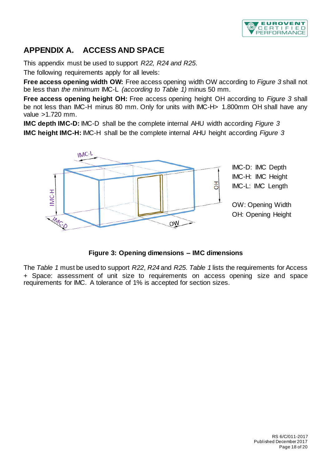

## <span id="page-17-1"></span><span id="page-17-0"></span>**APPENDIX A. ACCESS AND SPACE**

This appendix must be used to support *[R22,](#page-9-1) [R24](#page-10-7) and [R25](#page-10-8)*.

The following requirements apply for all levels:

**Free access opening width OW:** Free access opening width OW according to *[Figure 3](#page-17-2)* shall not be less than *the minimum* IMC-L *(according to [Table 1\)](#page-19-0)* minus 50 mm.

**Free access opening height OH:** Free access opening height OH according to *[Figure 3](#page-17-2)* shall be not less than IMC-H minus 80 mm. Only for units with IMC-H> 1.800mm OH shall have any value >1.720 mm.

**IMC depth IMC-D:** IMC-D shall be the complete internal AHU width according *[Figure 3](#page-17-2)* **IMC height IMC-H:** IMC-H shall be the complete internal AHU height according *[Figure 3](#page-17-2)*



#### **Figure 3: Opening dimensions – IMC dimensions**

<span id="page-17-2"></span>The *[Table 1](#page-19-0)* must be used to support *[R22](#page-9-1)*, *[R24](#page-10-7)* and *[R25](#page-10-8)*. *[Table 1](#page-19-0)* lists the requirements for Access + Space: assessment of unit size to requirements on access opening size and space requirements for IMC. A tolerance of 1% is accepted for section sizes.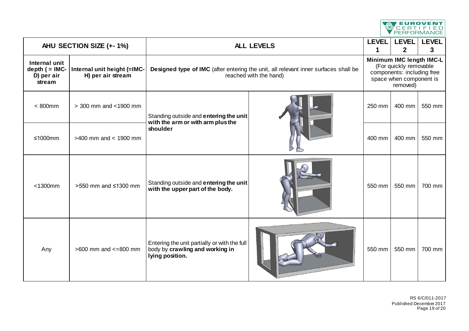

| AHU SECTION SIZE (+-1%)                                     |                                                  | <b>ALL LEVELS</b>                                                                                             |  |                                                                                                                         | <b>LEVEL</b><br><b>LEVEL</b><br>$\overline{2}$ | <b>LEVEL</b><br>3 |
|-------------------------------------------------------------|--------------------------------------------------|---------------------------------------------------------------------------------------------------------------|--|-------------------------------------------------------------------------------------------------------------------------|------------------------------------------------|-------------------|
| Internal unit<br>depth $($ = $IMC-$<br>D) per air<br>stream | Internal unit height (=IMC-<br>H) per air stream | Designed type of IMC (after entering the unit, all relevant inner surfaces shall be<br>reached with the hand) |  | Minimum IMC length IMC-L<br>(For quickly removable<br>components: including free<br>space when component is<br>removed) |                                                |                   |
| $< 800$ mm                                                  | > 300 mm and <1900 mm                            | Standing outside and entering the unit<br>with the arm or with arm plus the                                   |  | 250 mm                                                                                                                  | 400 mm                                         | 550 mm            |
| $≤1000mm$                                                   | $>400$ mm and < 1900 mm                          | shoulder                                                                                                      |  | 400 mm                                                                                                                  | 400 mm                                         | 550 mm            |
| $<$ 1300 $mm$                                               | >550 mm and ≤1300 mm                             | Standing outside and entering the unit<br>with the upper part of the body.                                    |  | 550 mm                                                                                                                  | 550 mm                                         | 700 mm            |
| Any                                                         | $>600$ mm and $<=800$ mm                         | Entering the unit partially or with the full<br>body by crawling and working in<br>lying position.            |  | 550 mm                                                                                                                  | 550 mm                                         | 700 mm            |

RS 6/C/011-2017 Published December 2017 Page 19 of 20